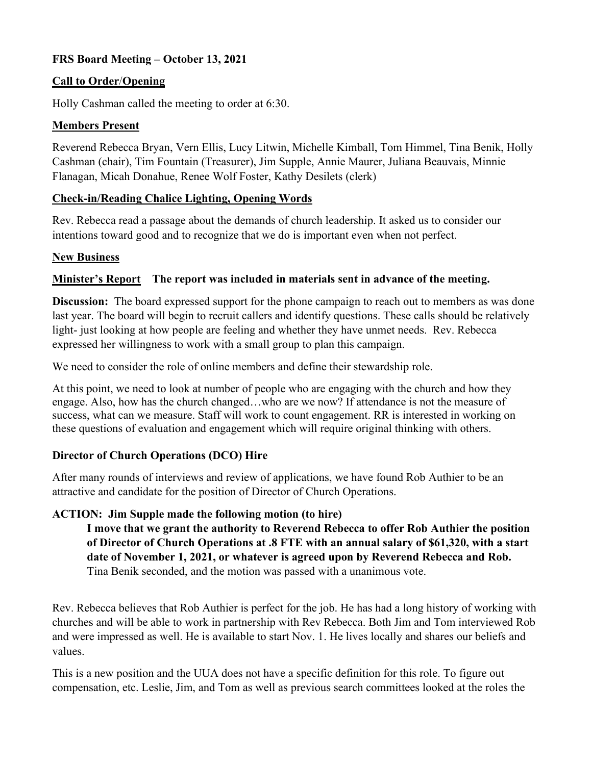# **FRS Board Meeting – October 13, 2021**

### **Call to Order**/**Opening**

Holly Cashman called the meeting to order at 6:30.

#### **Members Present**

Reverend Rebecca Bryan, Vern Ellis, Lucy Litwin, Michelle Kimball, Tom Himmel, Tina Benik, Holly Cashman (chair), Tim Fountain (Treasurer), Jim Supple, Annie Maurer, Juliana Beauvais, Minnie Flanagan, Micah Donahue, Renee Wolf Foster, Kathy Desilets (clerk)

### **Check-in/Reading Chalice Lighting, Opening Words**

Rev. Rebecca read a passage about the demands of church leadership. It asked us to consider our intentions toward good and to recognize that we do is important even when not perfect.

### **New Business**

### **Minister's Report The report was included in materials sent in advance of the meeting.**

**Discussion:** The board expressed support for the phone campaign to reach out to members as was done last year. The board will begin to recruit callers and identify questions. These calls should be relatively light- just looking at how people are feeling and whether they have unmet needs. Rev. Rebecca expressed her willingness to work with a small group to plan this campaign.

We need to consider the role of online members and define their stewardship role.

At this point, we need to look at number of people who are engaging with the church and how they engage. Also, how has the church changed…who are we now? If attendance is not the measure of success, what can we measure. Staff will work to count engagement. RR is interested in working on these questions of evaluation and engagement which will require original thinking with others.

#### **Director of Church Operations (DCO) Hire**

After many rounds of interviews and review of applications, we have found Rob Authier to be an attractive and candidate for the position of Director of Church Operations.

## **ACTION: Jim Supple made the following motion (to hire)**

**I move that we grant the authority to Reverend Rebecca to offer Rob Authier the position of Director of Church Operations at .8 FTE with an annual salary of \$61,320, with a start date of November 1, 2021, or whatever is agreed upon by Reverend Rebecca and Rob.** Tina Benik seconded, and the motion was passed with a unanimous vote.

Rev. Rebecca believes that Rob Authier is perfect for the job. He has had a long history of working with churches and will be able to work in partnership with Rev Rebecca. Both Jim and Tom interviewed Rob and were impressed as well. He is available to start Nov. 1. He lives locally and shares our beliefs and values.

This is a new position and the UUA does not have a specific definition for this role. To figure out compensation, etc. Leslie, Jim, and Tom as well as previous search committees looked at the roles the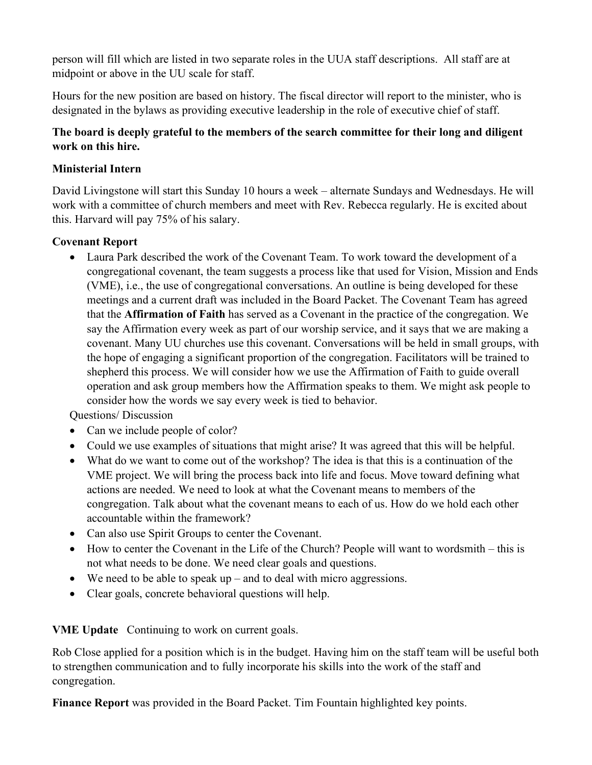person will fill which are listed in two separate roles in the UUA staff descriptions. All staff are at midpoint or above in the UU scale for staff.

Hours for the new position are based on history. The fiscal director will report to the minister, who is designated in the bylaws as providing executive leadership in the role of executive chief of staff.

## **The board is deeply grateful to the members of the search committee for their long and diligent work on this hire.**

## **Ministerial Intern**

David Livingstone will start this Sunday 10 hours a week – alternate Sundays and Wednesdays. He will work with a committee of church members and meet with Rev. Rebecca regularly. He is excited about this. Harvard will pay 75% of his salary.

# **Covenant Report**

• Laura Park described the work of the Covenant Team. To work toward the development of a congregational covenant, the team suggests a process like that used for Vision, Mission and Ends (VME), i.e., the use of congregational conversations. An outline is being developed for these meetings and a current draft was included in the Board Packet. The Covenant Team has agreed that the **Affirmation of Faith** has served as a Covenant in the practice of the congregation. We say the Affirmation every week as part of our worship service, and it says that we are making a covenant. Many UU churches use this covenant. Conversations will be held in small groups, with the hope of engaging a significant proportion of the congregation. Facilitators will be trained to shepherd this process. We will consider how we use the Affirmation of Faith to guide overall operation and ask group members how the Affirmation speaks to them. We might ask people to consider how the words we say every week is tied to behavior.

Questions/ Discussion

- Can we include people of color?
- Could we use examples of situations that might arise? It was agreed that this will be helpful.
- What do we want to come out of the workshop? The idea is that this is a continuation of the VME project. We will bring the process back into life and focus. Move toward defining what actions are needed. We need to look at what the Covenant means to members of the congregation. Talk about what the covenant means to each of us. How do we hold each other accountable within the framework?
- Can also use Spirit Groups to center the Covenant.
- How to center the Covenant in the Life of the Church? People will want to wordsmith this is not what needs to be done. We need clear goals and questions.
- We need to be able to speak up and to deal with micro aggressions.
- Clear goals, concrete behavioral questions will help.

**VME Update** Continuing to work on current goals.

Rob Close applied for a position which is in the budget. Having him on the staff team will be useful both to strengthen communication and to fully incorporate his skills into the work of the staff and congregation.

**Finance Report** was provided in the Board Packet. Tim Fountain highlighted key points.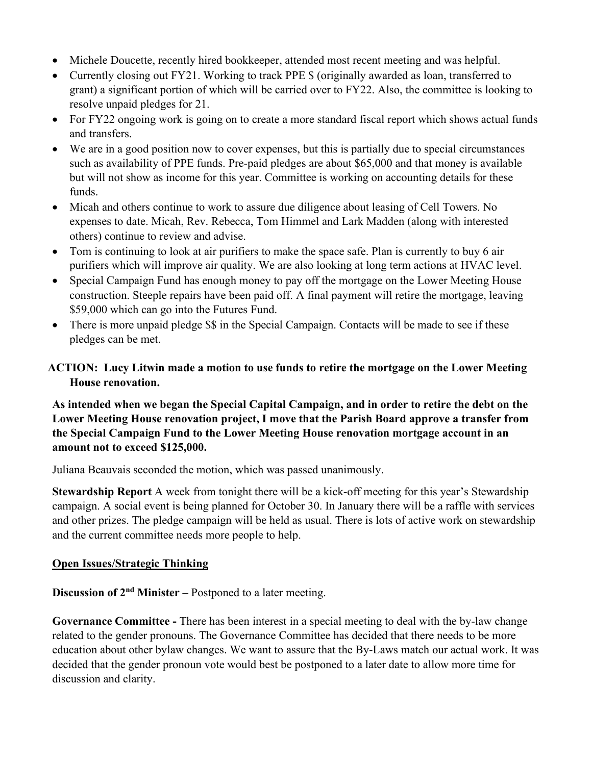- Michele Doucette, recently hired bookkeeper, attended most recent meeting and was helpful.
- Currently closing out FY21. Working to track PPE \$ (originally awarded as loan, transferred to grant) a significant portion of which will be carried over to FY22. Also, the committee is looking to resolve unpaid pledges for 21.
- For FY22 ongoing work is going on to create a more standard fiscal report which shows actual funds and transfers.
- We are in a good position now to cover expenses, but this is partially due to special circumstances such as availability of PPE funds. Pre-paid pledges are about \$65,000 and that money is available but will not show as income for this year. Committee is working on accounting details for these funds.
- Micah and others continue to work to assure due diligence about leasing of Cell Towers. No expenses to date. Micah, Rev. Rebecca, Tom Himmel and Lark Madden (along with interested others) continue to review and advise.
- Tom is continuing to look at air purifiers to make the space safe. Plan is currently to buy 6 air purifiers which will improve air quality. We are also looking at long term actions at HVAC level.
- Special Campaign Fund has enough money to pay off the mortgage on the Lower Meeting House construction. Steeple repairs have been paid off. A final payment will retire the mortgage, leaving \$59,000 which can go into the Futures Fund.
- There is more unpaid pledge  $\$  in the Special Campaign. Contacts will be made to see if these pledges can be met.

# **ACTION: Lucy Litwin made a motion to use funds to retire the mortgage on the Lower Meeting House renovation.**

## **As intended when we began the Special Capital Campaign, and in order to retire the debt on the Lower Meeting House renovation project, I move that the Parish Board approve a transfer from the Special Campaign Fund to the Lower Meeting House renovation mortgage account in an amount not to exceed \$125,000.**

Juliana Beauvais seconded the motion, which was passed unanimously.

**Stewardship Report** A week from tonight there will be a kick-off meeting for this year's Stewardship campaign. A social event is being planned for October 30. In January there will be a raffle with services and other prizes. The pledge campaign will be held as usual. There is lots of active work on stewardship and the current committee needs more people to help.

## **Open Issues/Strategic Thinking**

**Discussion of 2nd Minister –** Postponed to a later meeting.

**Governance Committee -** There has been interest in a special meeting to deal with the by-law change related to the gender pronouns. The Governance Committee has decided that there needs to be more education about other bylaw changes. We want to assure that the By-Laws match our actual work. It was decided that the gender pronoun vote would best be postponed to a later date to allow more time for discussion and clarity.